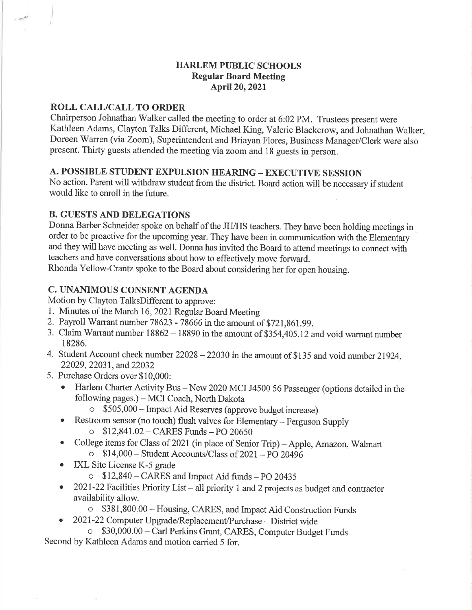# HARLEM PUBLIC SCHOOLS Regular Board Meeting April20,202l

# ROLL CALL/CALL TO ORDER

Chairperson Johnathan Walker called the meeting to order at 6:02 PM. Trustees present were Kathleen Adams, Clayton Talks Different, Michael King, Valerie Blackcrow, and Johnathan Walker Doreen Warren (via Zoom), Superintendent and Briayan Flores, Business Manager/Clerk were also present. Thirty guests attended the meeting via zoom and 18 guests in person.

# A. POSSIBLE STUDENT EXPULSION HEARING - EXECUTIVE SESSION

No action. Parent will withdraw student from the district. Board action will be necessary if student would like to enroll in the future.

# B. GUESTS AND DELEGATIONS

Donna Barber Schneider spoke on behalf of the JH/HS teachers. They have been holding meetings in order to be proactive for the upcoming year. They have been in communication with the Elementary and they will have meeting as well. Donna has invited the Board to attend meetings to connect with teachers and have conversations about how to effectively move forward.

Rhonda Yellow-Crantz spoke to the Board about considering her for open housing.

# C. UNANIMOUS CONSENT AGENDA

Motion by Clayton TalksDifferent to approve:

- 1. Minutes of the March 16, 2021 Regular Board Meeting
- 2. Payroll Warrant number 78623 78666 in the amount of \$721,861.99.
- 3. Claim Warrant number 18862 18890 in the amount of \$354,405.12 and void warrant number 18286.
- 4. Student Account check number 22028 -22030 in the amount of \$135 and void number 21924, 22029, 22031, and 22032
- 5. Purchase Orders over \$10,000:
	- o Harlem Charter Activity Bus New 2020 MCI J4500 56 Passenger (options detailed in the following pages.) - MCI Coach, North Dakota
		- o \$505,000 Impact Aid Reserves (approve budget increase)
	- Restroom sensor (no touch) flush valves for Elementary Ferguson Supply o 512,841.02-CARES Funds-PO <sup>20650</sup>
	- College items for Class of 2021 (in place of Senior Trip) Apple, Amazon, Walmart  $\frac{114,000 - 1100}{60}$  S14,000 - Student Accounts/Class of 2021 - PO 20496
	- IXL Site License K-5 grade
		- o \$12,840 CARES and Impact Aid tunds -PO <sup>20435</sup>
	- 2021-22 Facilities Priority List all priority 1 and 2 projects as budget and contractor availability allow.
		- o \$381,800.00 Housing, CARES, and Impact Aid Construction Funds
		- 2021-22 Computer Upgrade/Replacement/Purchase District wide
- o \$30,000.00 Carl Perkins Grant, CARES, Computer Budget Funds Second by Kathleen Adams and motion carried 5 for.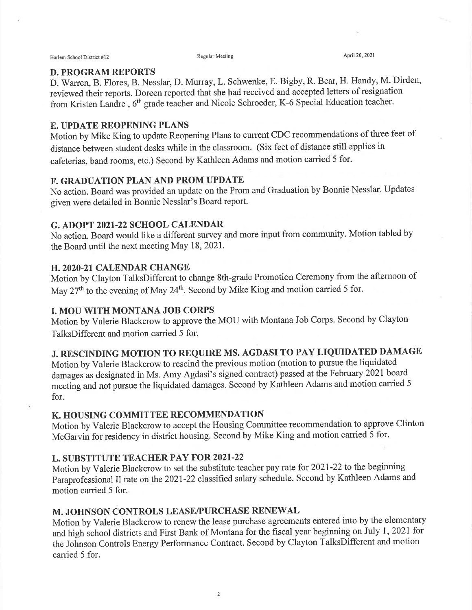### D. PROGRAM REPORTS

D. Warren, B. Flores, B. Nesslar, D. Murray, L. Schwenke, E. Bigby, R. Bear, H. Handy, M. Dirden, reviewed their reports. Doreen reported that she had received and accepted letters of resignation from Kristen Landre , 6th grade teacher and Nicole Schroeder, K-6 Special Education teacher.

### E. UPDATE REOPENING PLANS

Motion by Mike King to update Reopening Plans to current CDC recommendations of three feet of distance between student desks while in the classroom. (Six feet of distance still applies in cafeterias, band rooms, etc.) Second by Kathleen Adams and motion carried 5 for.

### F. GRADUATION PLAN AND PROM UPDATE

No action. Board was provided an update on the Prom and Graduation by Bonnie Nesslar. Updates given were detailed in Bonnie Nesslar's Board report.

#### G. ADOPT 2O2I-22 SCHOOL CALENDAR

No action. Board would like a different survey and more input from community. Motion tabled by the Board until the next meeting May 18,2021.

### H. 2O2O-2I CALENDAR CHANGE

Motion by Clayton TalksDifferent to change 8th-grade Promotion Ceremony from the afternoon of May 27<sup>th</sup> to the evening of May 24<sup>th</sup>. Second by Mike King and motion carried 5 for.

## **I. MOU WITH MONTANA JOB CORPS**

Motion by Valerie Blackcrow to approve the MOU with Montana Job Corps. Second by Clayton TalksDifferent and motion carried 5 for.

# J. RESCINDING MOTION TO REQUIRE MS. AGDASI TO PAY LIQUIDATED DAMAGE

Motion by Valerie Blackcrow to rescind the previous motion (motion to pursue the liquidated damages as designated in Ms. Amy Agdasi's signed contract) passed at the February 2021 board meeting and not pursue the liquidated damages. Second by Kathleen Adams and motion carried 5 for.

## K. HOUSING COMMITTEE RECOMMENDATION

Motion by Valerie Blackcrow to accept the Housing Committee recommendation to approve Clinton McGarvin for residency in district housing. Second by Mike King and motion carried 5 for.

# L. SUBSTITUTE TEACHER PAY FOR 202I.22

Motion by Valerie Blackcrow to set the substitute teacher pay rate for 2021-22 to the beginning Paraprofessional ll rate on the202I-22 classified salary schedule. Second by Kathleen Adams and motion carried 5 for.

## M. JOHNSON CONTROLS LEASE/PURCHASE RENEWAL

Motion by Valerie Blackcrow to renew the lease purchase agreements entered into by the elementary and high school districts and First Bank of Montana for the fiscal year beginning on July 1, 2021 for the Johnson Controls Energy Performance Contract. Second by Clayton TalksDifferent and motion carried 5 for.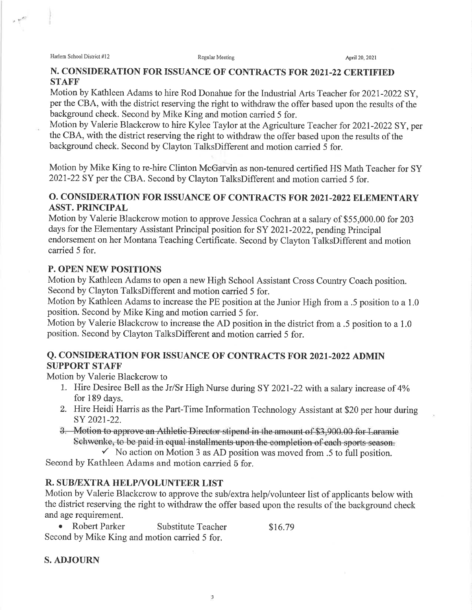Harlem School District #12 **Regular Meeting** Regular Meeting April 20, 2021

## N. CONSIDERATION FOR ISSUANCE OF CONTRACTS FOR 2021-22 CERTIFIED **STAFF**

Motion by Kathleen Adams to hire Rod Donahue for the Industrial Arts Teacher for 2021-2022 SY, per the CBA, with the district reserving the right to withdraw the offer based upon the results of the background check. Second by Mike King and motion carried 5 for.

Motion by Valerie Blackcrow to hire Kylee Taylor at the Agriculture Teacher for 2021-2022 SY, per the CBA, with the district reserving the right to withdraw the offer based upon the results of the background check. Second by Clayton TalksDifferent and motion carried 5 for.

Motion by Mike King to re-hire Clinton McGarvin as non-tenured certified HS Math Teacher for SY 2021-22 SY per the CBA. Second by Clayton TalksDifferent and motion carried 5 for.

# O. CONSIDERATION FOR ISSUANCE OF CONTRACTS FOR 2021-2022 ELEMENTARY ASST. PRINCIPAL

Motion by Valerie Blackcrow motion to approve Jessica Cochran at a salary of \$55,000.00 for 203 days for the Elementary Assistant Principal position for SY 2021-2022, pending Principal endorsement on her Montana Teaching Certificate. Second by Clayton TalksDifferent and motion carried 5 for.

# P. OPEN NEW POSITIONS

Motion by Kathleen Adams to open a new High School Assistant Cross Country Coach position. Second by Clayton TalksDifferent and motion carried 5 for.

Motion by Kathleen Adams to increase the PE position at the Junior High from a .5 position to a 1.0 position. Second by Mike King and motion carried 5 for.

Motion by Valerie Blackcrow to increase the AD position in the district from a .5 position to a 1.0 position. Second by Clayton TalksDifferent and motion carried 5 for.

# Q. CONSIDERATION FOR ISSUANCE OF CONTRACTS FOR 2021-2022 ADMIN SUPPORT STAFF'

Motion by Valerie Blackcrow to

- 1. Hire Desiree Bell as the Jr/Sr High Nurse during SY 2021-22 with a salary increase of 4% for 189 days.
- 2. Hire Heidi Harris as the Part-Time Information Technology Assistant at \$20 per hour during sY 202t-22.
- 3. Motion to approve an Athletic Director stipend in the amount of \$3,900.00 for Laramie Schwenke, to be paid in equal installments upon the completion of each sports season.
	- $\checkmark$  No action on Motion 3 as AD position was moved from .5 to full position.

Second by Kathleen Adams and motion carried 5 for.

# R. SUB/EXTRA HELP/VOLUNTEER LIST

Motion by Valerie Blackcrow to approve the sub/extra help/volunteer list of applicants below with the district reserving the right to withdraw the offer based upon the results of the background check and age requirement.

3

• Robert Parker Substitute Teacher \$16.79 Second by Mike King and motion carried 5 for.

## S. ADJOURN